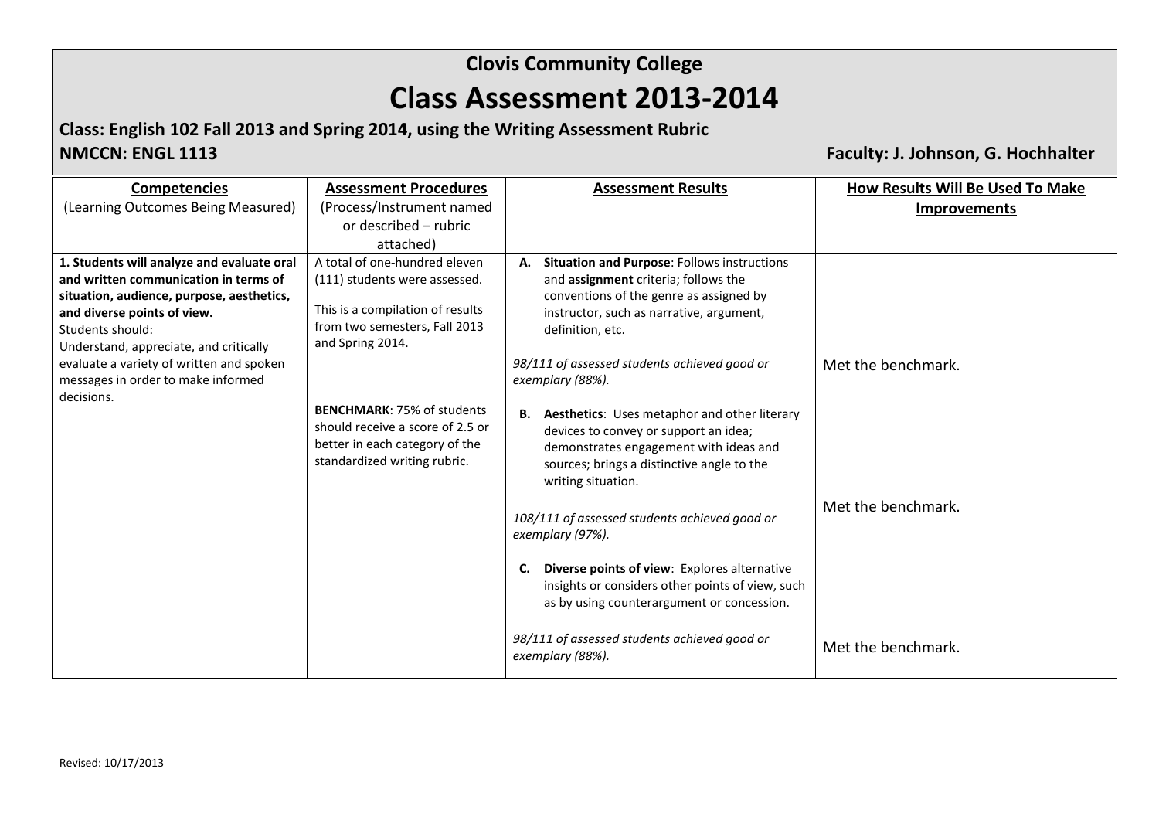**Class: English 102 Fall 2013 and Spring 2014, using the Writing Assessment Rubric**

**NMCCN: ENGL 1113 Faculty: J. Johnson, G. Hochhalter**

| <b>Competencies</b>                              | <b>Assessment Procedures</b>                                                                                                            | <b>Assessment Results</b>                                                                                                                                                                                     | <b>How Results Will Be Used To Make</b> |
|--------------------------------------------------|-----------------------------------------------------------------------------------------------------------------------------------------|---------------------------------------------------------------------------------------------------------------------------------------------------------------------------------------------------------------|-----------------------------------------|
| (Learning Outcomes Being Measured)               | (Process/Instrument named                                                                                                               |                                                                                                                                                                                                               | <b>Improvements</b>                     |
|                                                  | or described - rubric                                                                                                                   |                                                                                                                                                                                                               |                                         |
|                                                  | attached)                                                                                                                               |                                                                                                                                                                                                               |                                         |
| 1. Students will analyze and evaluate oral       | A total of one-hundred eleven                                                                                                           | A. Situation and Purpose: Follows instructions                                                                                                                                                                |                                         |
| and written communication in terms of            | (111) students were assessed.                                                                                                           | and assignment criteria; follows the                                                                                                                                                                          |                                         |
| situation, audience, purpose, aesthetics,        |                                                                                                                                         | conventions of the genre as assigned by                                                                                                                                                                       |                                         |
| and diverse points of view.                      | This is a compilation of results                                                                                                        | instructor, such as narrative, argument,                                                                                                                                                                      |                                         |
| Students should:                                 | from two semesters, Fall 2013<br>and Spring 2014.                                                                                       | definition, etc.                                                                                                                                                                                              |                                         |
| Understand, appreciate, and critically           |                                                                                                                                         |                                                                                                                                                                                                               |                                         |
| evaluate a variety of written and spoken         |                                                                                                                                         | 98/111 of assessed students achieved good or                                                                                                                                                                  | Met the benchmark.                      |
| messages in order to make informed<br>decisions. |                                                                                                                                         | exemplary (88%).                                                                                                                                                                                              |                                         |
|                                                  | <b>BENCHMARK: 75% of students</b><br>should receive a score of 2.5 or<br>better in each category of the<br>standardized writing rubric. | <b>B.</b> Aesthetics: Uses metaphor and other literary<br>devices to convey or support an idea;<br>demonstrates engagement with ideas and<br>sources; brings a distinctive angle to the<br>writing situation. |                                         |
|                                                  |                                                                                                                                         | 108/111 of assessed students achieved good or<br>exemplary (97%).                                                                                                                                             | Met the benchmark.                      |
|                                                  |                                                                                                                                         | Diverse points of view: Explores alternative<br>C.<br>insights or considers other points of view, such<br>as by using counterargument or concession.                                                          |                                         |
|                                                  |                                                                                                                                         | 98/111 of assessed students achieved good or<br>exemplary (88%).                                                                                                                                              | Met the benchmark.                      |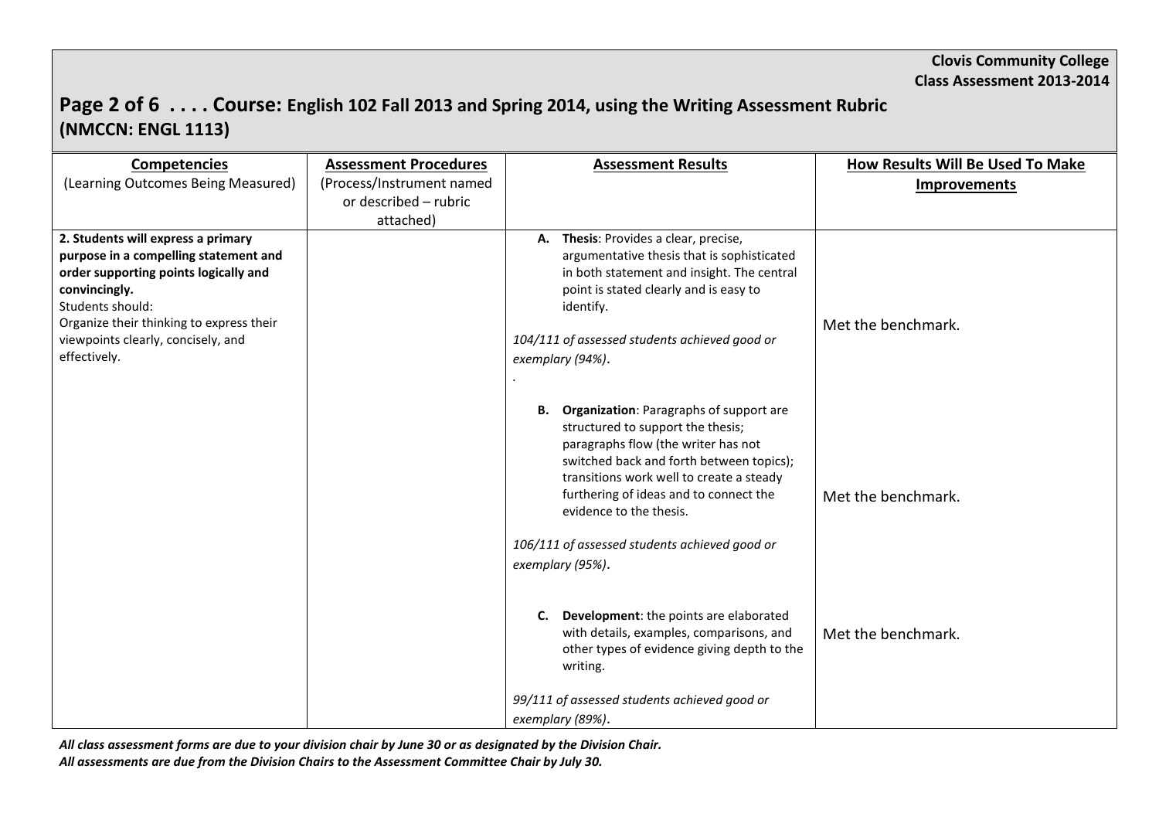## **Page 2 of 6 . . . . Course: English 102 Fall 2013 and Spring 2014, using the Writing Assessment Rubric (NMCCN: ENGL 1113)**

| <b>Competencies</b>                                    | <b>Assessment Procedures</b> | <b>Assessment Results</b>                                                              | <b>How Results Will Be Used To Make</b> |
|--------------------------------------------------------|------------------------------|----------------------------------------------------------------------------------------|-----------------------------------------|
| (Learning Outcomes Being Measured)                     | (Process/Instrument named    |                                                                                        | <b>Improvements</b>                     |
|                                                        | or described - rubric        |                                                                                        |                                         |
|                                                        | attached)                    |                                                                                        |                                         |
| 2. Students will express a primary                     |                              | A. Thesis: Provides a clear, precise,                                                  |                                         |
| purpose in a compelling statement and                  |                              | argumentative thesis that is sophisticated                                             |                                         |
| order supporting points logically and<br>convincingly. |                              | in both statement and insight. The central<br>point is stated clearly and is easy to   |                                         |
| Students should:                                       |                              | identify.                                                                              |                                         |
| Organize their thinking to express their               |                              |                                                                                        | Met the benchmark.                      |
| viewpoints clearly, concisely, and                     |                              | 104/111 of assessed students achieved good or                                          |                                         |
| effectively.                                           |                              | exemplary (94%).                                                                       |                                         |
|                                                        |                              |                                                                                        |                                         |
|                                                        |                              |                                                                                        |                                         |
|                                                        |                              | <b>B.</b> Organization: Paragraphs of support are<br>structured to support the thesis; |                                         |
|                                                        |                              | paragraphs flow (the writer has not                                                    |                                         |
|                                                        |                              | switched back and forth between topics);                                               |                                         |
|                                                        |                              | transitions work well to create a steady                                               |                                         |
|                                                        |                              | furthering of ideas and to connect the                                                 | Met the benchmark.                      |
|                                                        |                              | evidence to the thesis.                                                                |                                         |
|                                                        |                              | 106/111 of assessed students achieved good or                                          |                                         |
|                                                        |                              | exemplary (95%).                                                                       |                                         |
|                                                        |                              |                                                                                        |                                         |
|                                                        |                              |                                                                                        |                                         |
|                                                        |                              | Development: the points are elaborated<br>C.                                           |                                         |
|                                                        |                              | with details, examples, comparisons, and                                               | Met the benchmark.                      |
|                                                        |                              | other types of evidence giving depth to the                                            |                                         |
|                                                        |                              | writing.                                                                               |                                         |
|                                                        |                              | 99/111 of assessed students achieved good or                                           |                                         |
|                                                        |                              | exemplary (89%).                                                                       |                                         |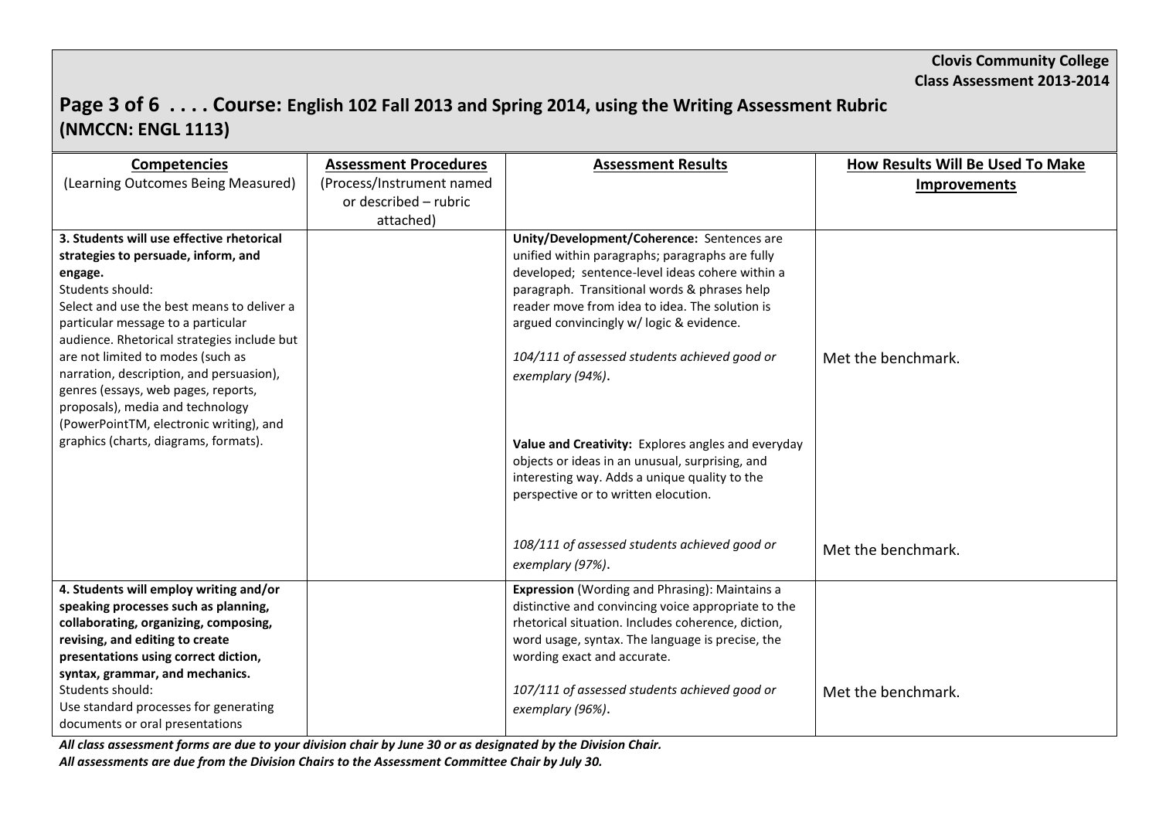# **Page 3 of 6 . . . . Course: English 102 Fall 2013 and Spring 2014, using the Writing Assessment Rubric (NMCCN: ENGL 1113)**

| <b>Competencies</b>                                                               | <b>Assessment Procedures</b> | <b>Assessment Results</b>                             | How Results Will Be Used To Make |
|-----------------------------------------------------------------------------------|------------------------------|-------------------------------------------------------|----------------------------------|
| (Learning Outcomes Being Measured)                                                | (Process/Instrument named    |                                                       | <b>Improvements</b>              |
|                                                                                   | or described - rubric        |                                                       |                                  |
|                                                                                   | attached)                    |                                                       |                                  |
| 3. Students will use effective rhetorical                                         |                              | Unity/Development/Coherence: Sentences are            |                                  |
| strategies to persuade, inform, and                                               |                              | unified within paragraphs; paragraphs are fully       |                                  |
| engage.                                                                           |                              | developed; sentence-level ideas cohere within a       |                                  |
| Students should:                                                                  |                              | paragraph. Transitional words & phrases help          |                                  |
| Select and use the best means to deliver a                                        |                              | reader move from idea to idea. The solution is        |                                  |
| particular message to a particular<br>audience. Rhetorical strategies include but |                              | argued convincingly w/ logic & evidence.              |                                  |
| are not limited to modes (such as                                                 |                              | 104/111 of assessed students achieved good or         | Met the benchmark.               |
| narration, description, and persuasion),                                          |                              | exemplary (94%).                                      |                                  |
| genres (essays, web pages, reports,                                               |                              |                                                       |                                  |
| proposals), media and technology                                                  |                              |                                                       |                                  |
| (PowerPointTM, electronic writing), and                                           |                              |                                                       |                                  |
| graphics (charts, diagrams, formats).                                             |                              | Value and Creativity: Explores angles and everyday    |                                  |
|                                                                                   |                              | objects or ideas in an unusual, surprising, and       |                                  |
|                                                                                   |                              | interesting way. Adds a unique quality to the         |                                  |
|                                                                                   |                              | perspective or to written elocution.                  |                                  |
|                                                                                   |                              |                                                       |                                  |
|                                                                                   |                              | 108/111 of assessed students achieved good or         | Met the benchmark.               |
|                                                                                   |                              | exemplary (97%).                                      |                                  |
| 4. Students will employ writing and/or                                            |                              | <b>Expression</b> (Wording and Phrasing): Maintains a |                                  |
| speaking processes such as planning,                                              |                              | distinctive and convincing voice appropriate to the   |                                  |
| collaborating, organizing, composing,                                             |                              | rhetorical situation. Includes coherence, diction,    |                                  |
| revising, and editing to create                                                   |                              | word usage, syntax. The language is precise, the      |                                  |
| presentations using correct diction,                                              |                              | wording exact and accurate.                           |                                  |
| syntax, grammar, and mechanics.                                                   |                              |                                                       |                                  |
| Students should:                                                                  |                              | 107/111 of assessed students achieved good or         | Met the benchmark.               |
| Use standard processes for generating                                             |                              | exemplary (96%).                                      |                                  |
| documents or oral presentations                                                   |                              |                                                       |                                  |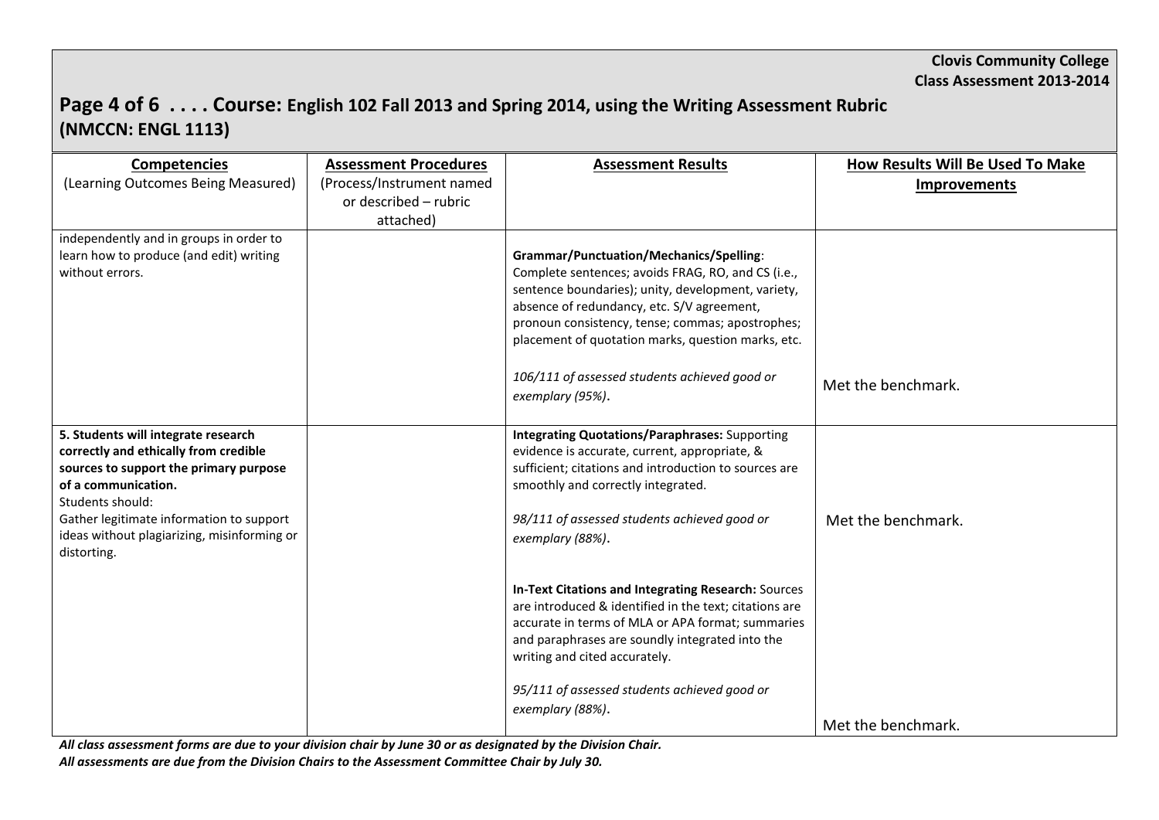# **Page 4 of 6 . . . . Course: English 102 Fall 2013 and Spring 2014, using the Writing Assessment Rubric (NMCCN: ENGL 1113)**

| <b>Competencies</b><br>(Learning Outcomes Being Measured)                                                                                                                                                                                                                   | <b>Assessment Procedures</b><br>(Process/Instrument named<br>or described - rubric | <b>Assessment Results</b>                                                                                                                                                                                                                                                                                                                                                               | How Results Will Be Used To Make<br><b>Improvements</b> |
|-----------------------------------------------------------------------------------------------------------------------------------------------------------------------------------------------------------------------------------------------------------------------------|------------------------------------------------------------------------------------|-----------------------------------------------------------------------------------------------------------------------------------------------------------------------------------------------------------------------------------------------------------------------------------------------------------------------------------------------------------------------------------------|---------------------------------------------------------|
| independently and in groups in order to<br>learn how to produce (and edit) writing<br>without errors.                                                                                                                                                                       | attached)                                                                          | <b>Grammar/Punctuation/Mechanics/Spelling:</b><br>Complete sentences; avoids FRAG, RO, and CS (i.e.,<br>sentence boundaries); unity, development, variety,<br>absence of redundancy, etc. S/V agreement,<br>pronoun consistency, tense; commas; apostrophes;<br>placement of quotation marks, question marks, etc.<br>106/111 of assessed students achieved good or<br>exemplary (95%). | Met the benchmark.                                      |
| 5. Students will integrate research<br>correctly and ethically from credible<br>sources to support the primary purpose<br>of a communication.<br>Students should:<br>Gather legitimate information to support<br>ideas without plagiarizing, misinforming or<br>distorting. |                                                                                    | <b>Integrating Quotations/Paraphrases: Supporting</b><br>evidence is accurate, current, appropriate, &<br>sufficient; citations and introduction to sources are<br>smoothly and correctly integrated.<br>98/111 of assessed students achieved good or<br>exemplary (88%).                                                                                                               | Met the benchmark.                                      |
|                                                                                                                                                                                                                                                                             |                                                                                    | In-Text Citations and Integrating Research: Sources<br>are introduced & identified in the text; citations are<br>accurate in terms of MLA or APA format; summaries<br>and paraphrases are soundly integrated into the<br>writing and cited accurately.<br>95/111 of assessed students achieved good or<br>exemplary (88%).                                                              | Met the benchmark.                                      |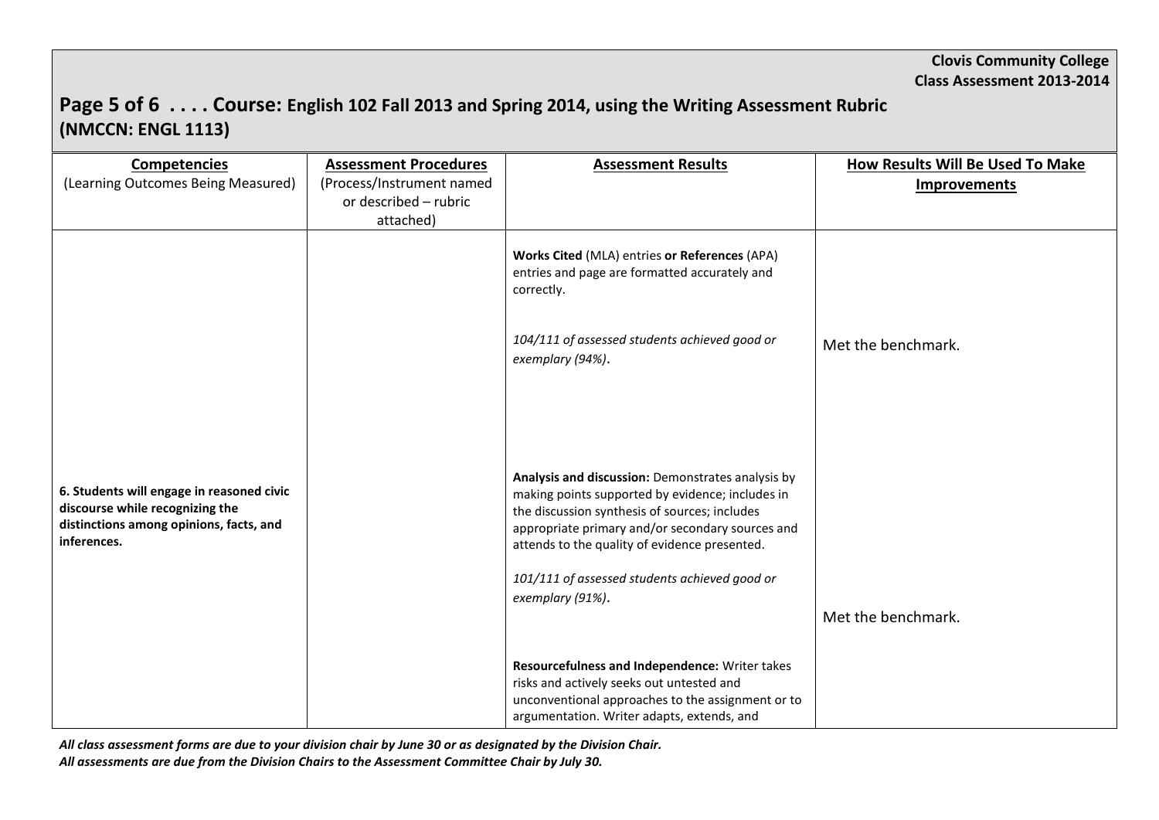# **Page 5 of 6 . . . . Course: English 102 Fall 2013 and Spring 2014, using the Writing Assessment Rubric (NMCCN: ENGL 1113)**

| <b>Competencies</b><br>(Learning Outcomes Being Measured)                                                                              | <b>Assessment Procedures</b><br>(Process/Instrument named | <b>Assessment Results</b>                                                                                                                                                                                                                                   | How Results Will Be Used To Make<br><b>Improvements</b> |
|----------------------------------------------------------------------------------------------------------------------------------------|-----------------------------------------------------------|-------------------------------------------------------------------------------------------------------------------------------------------------------------------------------------------------------------------------------------------------------------|---------------------------------------------------------|
|                                                                                                                                        | or described - rubric<br>attached)                        |                                                                                                                                                                                                                                                             |                                                         |
|                                                                                                                                        |                                                           | Works Cited (MLA) entries or References (APA)<br>entries and page are formatted accurately and<br>correctly.                                                                                                                                                |                                                         |
|                                                                                                                                        |                                                           | 104/111 of assessed students achieved good or<br>exemplary (94%).                                                                                                                                                                                           | Met the benchmark.                                      |
|                                                                                                                                        |                                                           |                                                                                                                                                                                                                                                             |                                                         |
| 6. Students will engage in reasoned civic<br>discourse while recognizing the<br>distinctions among opinions, facts, and<br>inferences. |                                                           | Analysis and discussion: Demonstrates analysis by<br>making points supported by evidence; includes in<br>the discussion synthesis of sources; includes<br>appropriate primary and/or secondary sources and<br>attends to the quality of evidence presented. |                                                         |
|                                                                                                                                        |                                                           | 101/111 of assessed students achieved good or<br>exemplary (91%).                                                                                                                                                                                           | Met the benchmark.                                      |
|                                                                                                                                        |                                                           | Resourcefulness and Independence: Writer takes<br>risks and actively seeks out untested and<br>unconventional approaches to the assignment or to<br>argumentation. Writer adapts, extends, and                                                              |                                                         |